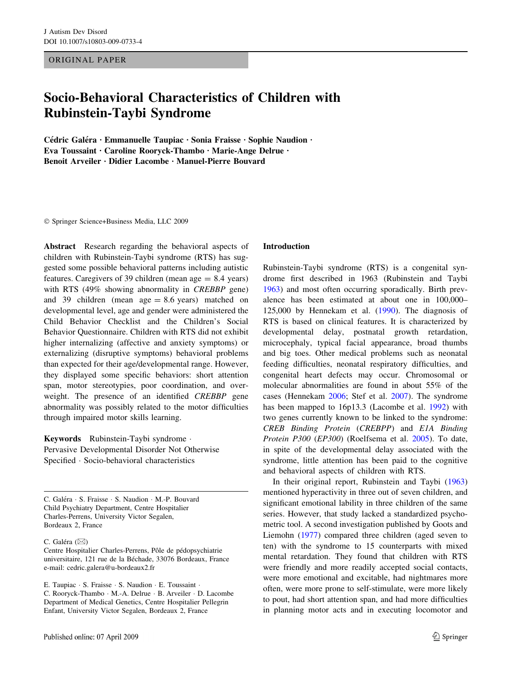ORIGINAL PAPER

# Socio-Behavioral Characteristics of Children with Rubinstein-Taybi Syndrome

Cédric Galéra · Emmanuelle Taupiac · Sonia Fraisse · Sophie Naudion · Eva Toussaint · Caroline Rooryck-Thambo · Marie-Ange Delrue · Benoit Arveiler • Didier Lacombe • Manuel-Pierre Bouvard

Springer Science+Business Media, LLC 2009

Abstract Research regarding the behavioral aspects of children with Rubinstein-Taybi syndrome (RTS) has suggested some possible behavioral patterns including autistic features. Caregivers of 39 children (mean age  $= 8.4$  years) with RTS (49% showing abnormality in *CREBBP* gene) and 39 children (mean age  $= 8.6$  years) matched on developmental level, age and gender were administered the Child Behavior Checklist and the Children's Social Behavior Questionnaire. Children with RTS did not exhibit higher internalizing (affective and anxiety symptoms) or externalizing (disruptive symptoms) behavioral problems than expected for their age/developmental range. However, they displayed some specific behaviors: short attention span, motor stereotypies, poor coordination, and overweight. The presence of an identified CREBBP gene abnormality was possibly related to the motor difficulties through impaired motor skills learning.

Keywords Rubinstein-Taybi syndrome · Pervasive Developmental Disorder Not Otherwise Specified · Socio-behavioral characteristics

C. Galéra · S. Fraisse · S. Naudion · M.-P. Bouvard Child Psychiatry Department, Centre Hospitalier Charles-Perrens, University Victor Segalen, Bordeaux 2, France

#### C. Galéra ( $\boxtimes$ )

Centre Hospitalier Charles-Perrens, Pôle de pédopsychiatrie universitaire, 121 rue de la Béchade, 33076 Bordeaux, France e-mail: cedric.galera@u-bordeaux2.fr

E. Taupiac · S. Fraisse · S. Naudion · E. Toussaint · C. Rooryck-Thambo · M.-A. Delrue · B. Arveiler · D. Lacombe Department of Medical Genetics, Centre Hospitalier Pellegrin Enfant, University Victor Segalen, Bordeaux 2, France

#### Introduction

Rubinstein-Taybi syndrome (RTS) is a congenital syndrome first described in 1963 (Rubinstein and Taybi [1963](#page-8-0)) and most often occurring sporadically. Birth prevalence has been estimated at about one in 100,000– 125,000 by Hennekam et al. [\(1990](#page-8-0)). The diagnosis of RTS is based on clinical features. It is characterized by developmental delay, postnatal growth retardation, microcephaly, typical facial appearance, broad thumbs and big toes. Other medical problems such as neonatal feeding difficulties, neonatal respiratory difficulties, and congenital heart defects may occur. Chromosomal or molecular abnormalities are found in about 55% of the cases (Hennekam [2006](#page-8-0); Stef et al. [2007](#page-8-0)). The syndrome has been mapped to 16p13.3 (Lacombe et al. [1992](#page-8-0)) with two genes currently known to be linked to the syndrome: CREB Binding Protein (CREBPP) and E1A Binding Protein P300 (EP300) (Roelfsema et al. [2005\)](#page-8-0). To date, in spite of the developmental delay associated with the syndrome, little attention has been paid to the cognitive and behavioral aspects of children with RTS.

In their original report, Rubinstein and Taybi ([1963\)](#page-8-0) mentioned hyperactivity in three out of seven children, and significant emotional lability in three children of the same series. However, that study lacked a standardized psychometric tool. A second investigation published by Goots and Liemohn ([1977\)](#page-8-0) compared three children (aged seven to ten) with the syndrome to 15 counterparts with mixed mental retardation. They found that children with RTS were friendly and more readily accepted social contacts, were more emotional and excitable, had nightmares more often, were more prone to self-stimulate, were more likely to pout, had short attention span, and had more difficulties in planning motor acts and in executing locomotor and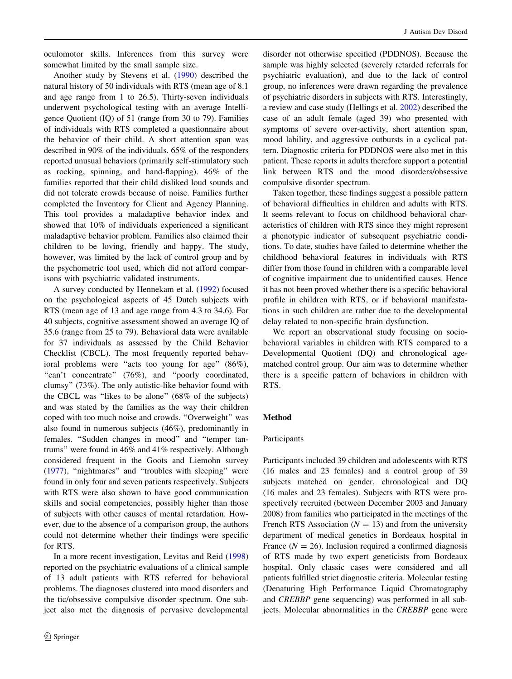oculomotor skills. Inferences from this survey were somewhat limited by the small sample size.

Another study by Stevens et al. ([1990\)](#page-8-0) described the natural history of 50 individuals with RTS (mean age of 8.1 and age range from 1 to 26.5). Thirty-seven individuals underwent psychological testing with an average Intelligence Quotient (IQ) of 51 (range from 30 to 79). Families of individuals with RTS completed a questionnaire about the behavior of their child. A short attention span was described in 90% of the individuals. 65% of the responders reported unusual behaviors (primarily self-stimulatory such as rocking, spinning, and hand-flapping). 46% of the families reported that their child disliked loud sounds and did not tolerate crowds because of noise. Families further completed the Inventory for Client and Agency Planning. This tool provides a maladaptive behavior index and showed that 10% of individuals experienced a significant maladaptive behavior problem. Families also claimed their children to be loving, friendly and happy. The study, however, was limited by the lack of control group and by the psychometric tool used, which did not afford comparisons with psychiatric validated instruments.

A survey conducted by Hennekam et al. ([1992\)](#page-8-0) focused on the psychological aspects of 45 Dutch subjects with RTS (mean age of 13 and age range from 4.3 to 34.6). For 40 subjects, cognitive assessment showed an average IQ of 35.6 (range from 25 to 79). Behavioral data were available for 37 individuals as assessed by the Child Behavior Checklist (CBCL). The most frequently reported behavioral problems were "acts too young for age" (86%), "can't concentrate" (76%), and "poorly coordinated, clumsy'' (73%). The only autistic-like behavior found with the CBCL was ''likes to be alone'' (68% of the subjects) and was stated by the families as the way their children coped with too much noise and crowds. ''Overweight'' was also found in numerous subjects (46%), predominantly in females. ''Sudden changes in mood'' and ''temper tantrums'' were found in 46% and 41% respectively. Although considered frequent in the Goots and Liemohn survey [\(1977](#page-8-0)), ''nightmares'' and ''troubles with sleeping'' were found in only four and seven patients respectively. Subjects with RTS were also shown to have good communication skills and social competencies, possibly higher than those of subjects with other causes of mental retardation. However, due to the absence of a comparison group, the authors could not determine whether their findings were specific for RTS.

In a more recent investigation, Levitas and Reid ([1998\)](#page-8-0) reported on the psychiatric evaluations of a clinical sample of 13 adult patients with RTS referred for behavioral problems. The diagnoses clustered into mood disorders and the tic/obsessive compulsive disorder spectrum. One subject also met the diagnosis of pervasive developmental disorder not otherwise specified (PDDNOS). Because the sample was highly selected (severely retarded referrals for psychiatric evaluation), and due to the lack of control group, no inferences were drawn regarding the prevalence of psychiatric disorders in subjects with RTS. Interestingly, a review and case study (Hellings et al. [2002\)](#page-8-0) described the case of an adult female (aged 39) who presented with symptoms of severe over-activity, short attention span, mood lability, and aggressive outbursts in a cyclical pattern. Diagnostic criteria for PDDNOS were also met in this patient. These reports in adults therefore support a potential link between RTS and the mood disorders/obsessive compulsive disorder spectrum.

Taken together, these findings suggest a possible pattern of behavioral difficulties in children and adults with RTS. It seems relevant to focus on childhood behavioral characteristics of children with RTS since they might represent a phenotypic indicator of subsequent psychiatric conditions. To date, studies have failed to determine whether the childhood behavioral features in individuals with RTS differ from those found in children with a comparable level of cognitive impairment due to unidentified causes. Hence it has not been proved whether there is a specific behavioral profile in children with RTS, or if behavioral manifestations in such children are rather due to the developmental delay related to non-specific brain dysfunction.

We report an observational study focusing on sociobehavioral variables in children with RTS compared to a Developmental Quotient (DQ) and chronological agematched control group. Our aim was to determine whether there is a specific pattern of behaviors in children with RTS.

## Method

# Participants

Participants included 39 children and adolescents with RTS (16 males and 23 females) and a control group of 39 subjects matched on gender, chronological and DQ (16 males and 23 females). Subjects with RTS were prospectively recruited (between December 2003 and January 2008) from families who participated in the meetings of the French RTS Association ( $N = 13$ ) and from the university department of medical genetics in Bordeaux hospital in France  $(N = 26)$ . Inclusion required a confirmed diagnosis of RTS made by two expert geneticists from Bordeaux hospital. Only classic cases were considered and all patients fulfilled strict diagnostic criteria. Molecular testing (Denaturing High Performance Liquid Chromatography and CREBBP gene sequencing) was performed in all subjects. Molecular abnormalities in the CREBBP gene were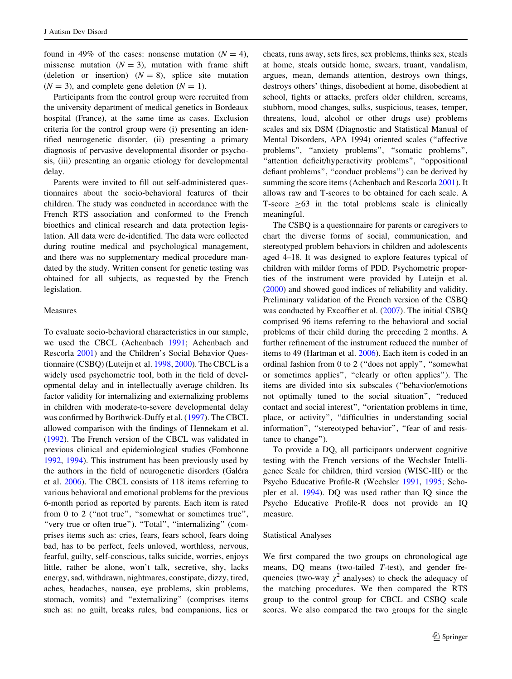found in 49% of the cases: nonsense mutation  $(N = 4)$ , missense mutation  $(N = 3)$ , mutation with frame shift (deletion or insertion)  $(N = 8)$ , splice site mutation  $(N = 3)$ , and complete gene deletion  $(N = 1)$ .

Participants from the control group were recruited from the university department of medical genetics in Bordeaux hospital (France), at the same time as cases. Exclusion criteria for the control group were (i) presenting an identified neurogenetic disorder, (ii) presenting a primary diagnosis of pervasive developmental disorder or psychosis, (iii) presenting an organic etiology for developmental delay.

Parents were invited to fill out self-administered questionnaires about the socio-behavioral features of their children. The study was conducted in accordance with the French RTS association and conformed to the French bioethics and clinical research and data protection legislation. All data were de-identified. The data were collected during routine medical and psychological management, and there was no supplementary medical procedure mandated by the study. Written consent for genetic testing was obtained for all subjects, as requested by the French legislation.

# Measures

To evaluate socio-behavioral characteristics in our sample, we used the CBCL (Achenbach [1991;](#page-7-0) Achenbach and Rescorla [2001\)](#page-7-0) and the Children's Social Behavior Questionnaire (CSBQ) (Luteijn et al. [1998](#page-8-0), [2000](#page-8-0)). The CBCL is a widely used psychometric tool, both in the field of developmental delay and in intellectually average children. Its factor validity for internalizing and externalizing problems in children with moderate-to-severe developmental delay was confirmed by Borthwick-Duffy et al. ([1997\)](#page-7-0). The CBCL allowed comparison with the findings of Hennekam et al. [\(1992](#page-8-0)). The French version of the CBCL was validated in previous clinical and epidemiological studies (Fombonne [1992,](#page-8-0) [1994\)](#page-8-0). This instrument has been previously used by the authors in the field of neurogenetic disorders (Galéra et al. [2006\)](#page-8-0). The CBCL consists of 118 items referring to various behavioral and emotional problems for the previous 6-month period as reported by parents. Each item is rated from 0 to 2 (''not true'', ''somewhat or sometimes true'', "very true or often true"). "Total", "internalizing" (comprises items such as: cries, fears, fears school, fears doing bad, has to be perfect, feels unloved, worthless, nervous, fearful, guilty, self-conscious, talks suicide, worries, enjoys little, rather be alone, won't talk, secretive, shy, lacks energy, sad, withdrawn, nightmares, constipate, dizzy, tired, aches, headaches, nausea, eye problems, skin problems, stomach, vomits) and ''externalizing'' (comprises items such as: no guilt, breaks rules, bad companions, lies or cheats, runs away, sets fires, sex problems, thinks sex, steals at home, steals outside home, swears, truant, vandalism, argues, mean, demands attention, destroys own things, destroys others' things, disobedient at home, disobedient at school, fights or attacks, prefers older children, screams, stubborn, mood changes, sulks, suspicious, teases, temper, threatens, loud, alcohol or other drugs use) problems scales and six DSM (Diagnostic and Statistical Manual of Mental Disorders, APA 1994) oriented scales (''affective problems", "anxiety problems", "somatic problems", ''attention deficit/hyperactivity problems'', ''oppositional defiant problems", "conduct problems") can be derived by summing the score items (Achenbach and Rescorla [2001](#page-7-0)). It allows raw and T-scores to be obtained for each scale. A T-score  $>63$  in the total problems scale is clinically meaningful.

The CSBQ is a questionnaire for parents or caregivers to chart the diverse forms of social, communication, and stereotyped problem behaviors in children and adolescents aged 4–18. It was designed to explore features typical of children with milder forms of PDD. Psychometric properties of the instrument were provided by Luteijn et al. [\(2000](#page-8-0)) and showed good indices of reliability and validity. Preliminary validation of the French version of the CSBQ was conducted by Excoffier et al. ([2007\)](#page-7-0). The initial CSBQ comprised 96 items referring to the behavioral and social problems of their child during the preceding 2 months. A further refinement of the instrument reduced the number of items to 49 (Hartman et al. [2006](#page-8-0)). Each item is coded in an ordinal fashion from 0 to 2 (''does not apply'', ''somewhat or sometimes applies'', ''clearly or often applies''). The items are divided into six subscales (''behavior/emotions not optimally tuned to the social situation'', ''reduced contact and social interest'', ''orientation problems in time, place, or activity'', ''difficulties in understanding social information", "stereotyped behavior", "fear of and resistance to change'').

To provide a DQ, all participants underwent cognitive testing with the French versions of the Wechsler Intelligence Scale for children, third version (WISC-III) or the Psycho Educative Profile-R (Wechsler [1991](#page-8-0), [1995](#page-8-0); Schopler et al. [1994\)](#page-8-0). DQ was used rather than IQ since the Psycho Educative Profile-R does not provide an IQ measure.

#### Statistical Analyses

We first compared the two groups on chronological age means, DQ means (two-tailed T-test), and gender frequencies (two-way  $\chi^2$  analyses) to check the adequacy of the matching procedures. We then compared the RTS group to the control group for CBCL and CSBQ scale scores. We also compared the two groups for the single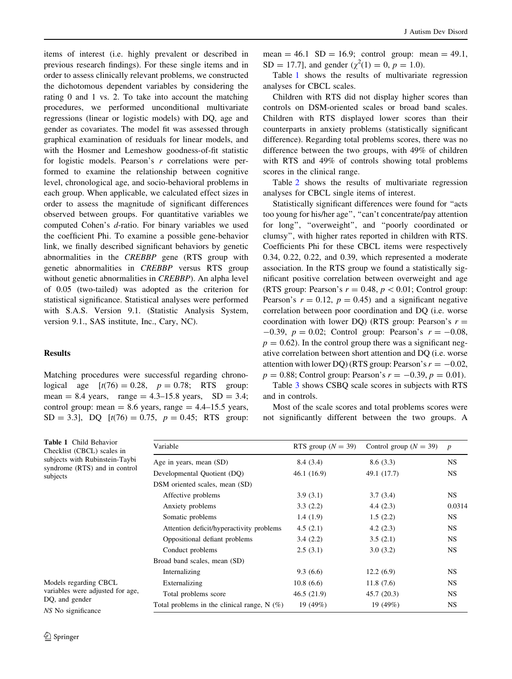items of interest (i.e. highly prevalent or described in previous research findings). For these single items and in order to assess clinically relevant problems, we constructed the dichotomous dependent variables by considering the rating 0 and 1 vs. 2. To take into account the matching procedures, we performed unconditional multivariate regressions (linear or logistic models) with DQ, age and gender as covariates. The model fit was assessed through graphical examination of residuals for linear models, and with the Hosmer and Lemeshow goodness-of-fit statistic for logistic models. Pearson's r correlations were performed to examine the relationship between cognitive level, chronological age, and socio-behavioral problems in each group. When applicable, we calculated effect sizes in order to assess the magnitude of significant differences observed between groups. For quantitative variables we computed Cohen's d-ratio. For binary variables we used the coefficient Phi. To examine a possible gene-behavior link, we finally described significant behaviors by genetic abnormalities in the CREBBP gene (RTS group with genetic abnormalities in CREBBP versus RTS group without genetic abnormalities in *CREBBP*). An alpha level of 0.05 (two-tailed) was adopted as the criterion for statistical significance. Statistical analyses were performed with S.A.S. Version 9.1. (Statistic Analysis System, version 9.1., SAS institute, Inc., Cary, NC).

# Results

Matching procedures were successful regarding chronological age  $[t(76) = 0.28, p = 0.78; RTS$  group: mean = 8.4 years, range =  $4.3 - 15.8$  years, SD = 3.4; control group: mean  $= 8.6$  years, range  $= 4.4$ –15.5 years,  $SD = 3.3$ ], DQ [t(76) = 0.75, p = 0.45; RTS group: mean  $= 46.1$  SD  $= 16.9$ ; control group: mean  $= 49.1$ , SD = 17.7], and gender  $(\chi^2(1) = 0, p = 1.0)$ .

Table 1 shows the results of multivariate regression analyses for CBCL scales.

Children with RTS did not display higher scores than controls on DSM-oriented scales or broad band scales. Children with RTS displayed lower scores than their counterparts in anxiety problems (statistically significant difference). Regarding total problems scores, there was no difference between the two groups, with 49% of children with RTS and 49% of controls showing total problems scores in the clinical range.

Table [2](#page-4-0) shows the results of multivariate regression analyses for CBCL single items of interest.

Statistically significant differences were found for ''acts too young for his/her age'', ''can't concentrate/pay attention for long'', ''overweight'', and ''poorly coordinated or clumsy'', with higher rates reported in children with RTS. Coefficients Phi for these CBCL items were respectively 0.34, 0.22, 0.22, and 0.39, which represented a moderate association. In the RTS group we found a statistically significant positive correlation between overweight and age (RTS group: Pearson's  $r = 0.48$ ,  $p < 0.01$ ; Control group: Pearson's  $r = 0.12$ ,  $p = 0.45$  and a significant negative correlation between poor coordination and DQ (i.e. worse coordination with lower DQ) (RTS group: Pearson's  $r =$  $-0.39$ ,  $p = 0.02$ ; Control group: Pearson's  $r = -0.08$ ,  $p = 0.62$ ). In the control group there was a significant negative correlation between short attention and DQ (i.e. worse attention with lower DQ) (RTS group: Pearson's  $r = -0.02$ ,  $p = 0.88$ ; Control group: Pearson's  $r = -0.39$ ,  $p = 0.01$ ).

Table [3](#page-4-0) shows CSBQ scale scores in subjects with RTS and in controls.

Most of the scale scores and total problems scores were not significantly different between the two groups. A

| <b>Table 1</b> Child Behavior<br>Checklist (CBCL) scales in<br>subjects with Rubinstein-Taybi<br>syndrome (RTS) and in control<br>subjects | Variable                                      | RTS group $(N = 39)$ | Control group ( $N = 39$ ) | $\overline{p}$ |
|--------------------------------------------------------------------------------------------------------------------------------------------|-----------------------------------------------|----------------------|----------------------------|----------------|
|                                                                                                                                            | Age in years, mean (SD)                       | 8.4(3.4)             | 8.6(3.3)                   | NS.            |
|                                                                                                                                            | Developmental Quotient (DQ)                   | 46.1(16.9)           | 49.1 (17.7)                | <b>NS</b>      |
|                                                                                                                                            | DSM oriented scales, mean (SD)                |                      |                            |                |
|                                                                                                                                            | Affective problems                            | 3.9(3.1)             | 3.7(3.4)                   | NS.            |
|                                                                                                                                            | Anxiety problems                              | 3.3(2.2)             | 4.4(2.3)                   | 0.0314         |
|                                                                                                                                            | Somatic problems                              | 1.4(1.9)             | 1.5(2.2)                   | NS.            |
|                                                                                                                                            | Attention deficit/hyperactivity problems      | 4.5(2.1)             | 4.2(2.3)                   | <b>NS</b>      |
|                                                                                                                                            | Oppositional defiant problems                 | 3.4(2.2)             | 3.5(2.1)                   | <b>NS</b>      |
|                                                                                                                                            | Conduct problems                              | 2.5(3.1)             | 3.0(3.2)                   | <b>NS</b>      |
|                                                                                                                                            | Broad band scales, mean (SD)                  |                      |                            |                |
|                                                                                                                                            | Internalizing                                 | 9.3(6.6)             | 12.2(6.9)                  | NS.            |
| Models regarding CBCL<br>variables were adjusted for age,<br>DQ, and gender<br>NS No significance                                          | Externalizing                                 | 10.8(6.6)            | 11.8(7.6)                  | NS.            |
|                                                                                                                                            | Total problems score                          | 46.5(21.9)           | 45.7(20.3)                 | NS.            |
|                                                                                                                                            | Total problems in the clinical range, $N(\%)$ | 19 (49%)             | 19 (49%)                   | <b>NS</b>      |

Table 1 Child B Checklist (CBCI subjects with Ru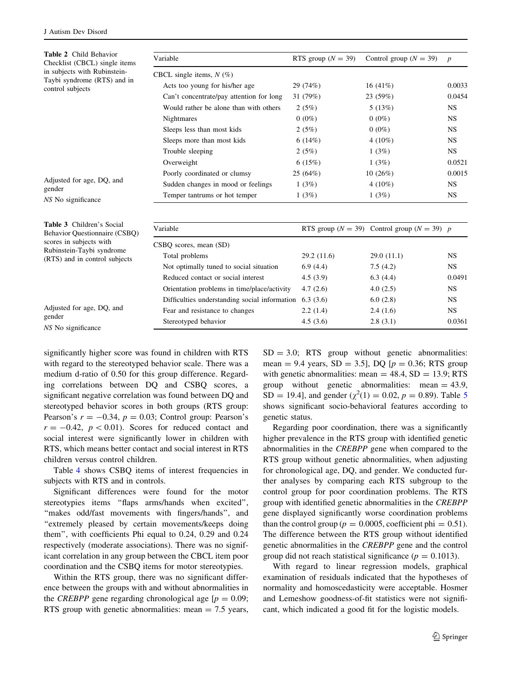<span id="page-4-0"></span>

| <b>Table 2</b> Child Behavior<br>Checklist (CBCL) single items<br>in subjects with Rubinstein-<br>Taybi syndrome (RTS) and in<br>control subjects | Variable                                                 | RTS group ( $N = 39$ ) | Control group ( $N = 39$ )                          | $\boldsymbol{p}$ |
|---------------------------------------------------------------------------------------------------------------------------------------------------|----------------------------------------------------------|------------------------|-----------------------------------------------------|------------------|
|                                                                                                                                                   | CBCL single items, $N(\%)$                               |                        |                                                     |                  |
|                                                                                                                                                   | Acts too young for his/her age                           | 29 (74%)               | 16 $(41\%)$                                         | 0.0033           |
|                                                                                                                                                   | Can't concentrate/pay attention for long                 | 31 (79%)               | 23 (59%)                                            | 0.0454           |
|                                                                                                                                                   | Would rather be alone than with others                   | 2(5%)                  | 5(13%)                                              | <b>NS</b>        |
|                                                                                                                                                   | <b>Nightmares</b>                                        | $0(0\%)$               | $0(0\%)$                                            | <b>NS</b>        |
|                                                                                                                                                   | Sleeps less than most kids                               | 2(5%)                  | $0(0\%)$                                            | <b>NS</b>        |
|                                                                                                                                                   | Sleeps more than most kids                               | 6(14%)                 | 4 $(10\%)$                                          | <b>NS</b>        |
|                                                                                                                                                   | Trouble sleeping                                         | 2(5%)                  | 1(3%)                                               | <b>NS</b>        |
|                                                                                                                                                   | Overweight                                               | 6(15%)                 | 1(3%)                                               | 0.0521           |
| Adjusted for age, DQ, and<br>gender                                                                                                               | Poorly coordinated or clumsy                             | 25(64%)                | 10(26%)                                             | 0.0015           |
|                                                                                                                                                   | Sudden changes in mood or feelings                       | 1(3%)                  | 4 $(10\%)$                                          | <b>NS</b>        |
| NS No significance                                                                                                                                | Temper tantrums or hot temper                            | 1(3%)                  | 1(3%)                                               | <b>NS</b>        |
| Table 3 Children's Social                                                                                                                         | Variable                                                 |                        | RTS group ( $N = 39$ ) Control group ( $N = 39$ ) p |                  |
| Behavior Questionnaire (CSBQ)<br>scores in subjects with<br>Rubinstein-Taybi syndrome<br>(RTS) and in control subjects                            |                                                          |                        |                                                     |                  |
|                                                                                                                                                   | CSBQ scores, mean (SD)                                   |                        |                                                     |                  |
|                                                                                                                                                   | Total problems                                           | 29.2(11.6)             | 29.0(11.1)                                          | <b>NS</b>        |
|                                                                                                                                                   | Not optimally tuned to social situation                  | 6.9(4.4)               | 7.5(4.2)                                            | <b>NS</b>        |
|                                                                                                                                                   | Reduced contact or social interest                       | 4.5(3.9)               | 6.3(4.4)                                            | 0.0491           |
|                                                                                                                                                   | Orientation problems in time/place/activity              | 4.7(2.6)               | 4.0(2.5)                                            | <b>NS</b>        |
|                                                                                                                                                   | Difficulties understanding social information $6.3(3.6)$ |                        | 6.0(2.8)                                            | <b>NS</b>        |
| Adjusted for age, DQ, and                                                                                                                         | Fear and resistance to changes                           | 2.2(1.4)               | 2.4(1.6)                                            | <b>NS</b>        |
| gender<br>NS No significance                                                                                                                      | Stereotyped behavior                                     | 4.5(3.6)               | 2.8(3.1)                                            | 0.0361           |

significantly higher score was found in children with RTS with regard to the stereotyped behavior scale. There was a medium d-ratio of 0.50 for this group difference. Regarding correlations between DQ and CSBQ scores, a significant negative correlation was found between DQ and stereotyped behavior scores in both groups (RTS group: Pearson's  $r = -0.34$ ,  $p = 0.03$ ; Control group: Pearson's  $r = -0.42$ ,  $p < 0.01$ ). Scores for reduced contact and social interest were significantly lower in children with RTS, which means better contact and social interest in RTS children versus control children.

Table [4](#page-5-0) shows CSBQ items of interest frequencies in subjects with RTS and in controls.

Significant differences were found for the motor stereotypies items ''flaps arms/hands when excited'', ''makes odd/fast movements with fingers/hands'', and "extremely pleased by certain movements/keeps doing them'', with coefficients Phi equal to 0.24, 0.29 and 0.24 respectively (moderate associations). There was no significant correlation in any group between the CBCL item poor coordination and the CSBQ items for motor stereotypies.

Within the RTS group, there was no significant difference between the groups with and without abnormalities in the *CREBPP* gene regarding chronological age  $[p = 0.09;$ RTS group with genetic abnormalities: mean  $= 7.5$  years,

 $SD = 3.0$ ; RTS group without genetic abnormalities: mean = 9.4 years,  $SD = 3.5$ ], DQ [ $p = 0.36$ ; RTS group with genetic abnormalities: mean  $= 48.4$ , SD  $= 13.9$ ; RTS group without genetic abnormalities: mean  $= 43.9$ , SD = 19.4], and gender ( $\chi^2(1) = 0.02$ ,  $p = 0.89$ ). Table [5](#page-5-0) shows significant socio-behavioral features according to genetic status.

Regarding poor coordination, there was a significantly higher prevalence in the RTS group with identified genetic abnormalities in the CREBPP gene when compared to the RTS group without genetic abnormalities, when adjusting for chronological age, DQ, and gender. We conducted further analyses by comparing each RTS subgroup to the control group for poor coordination problems. The RTS group with identified genetic abnormalities in the CREBPP gene displayed significantly worse coordination problems than the control group ( $p = 0.0005$ , coefficient phi = 0.51). The difference between the RTS group without identified genetic abnormalities in the CREBPP gene and the control group did not reach statistical significance ( $p = 0.1013$ ).

With regard to linear regression models, graphical examination of residuals indicated that the hypotheses of normality and homoscedasticity were acceptable. Hosmer and Lemeshow goodness-of-fit statistics were not significant, which indicated a good fit for the logistic models.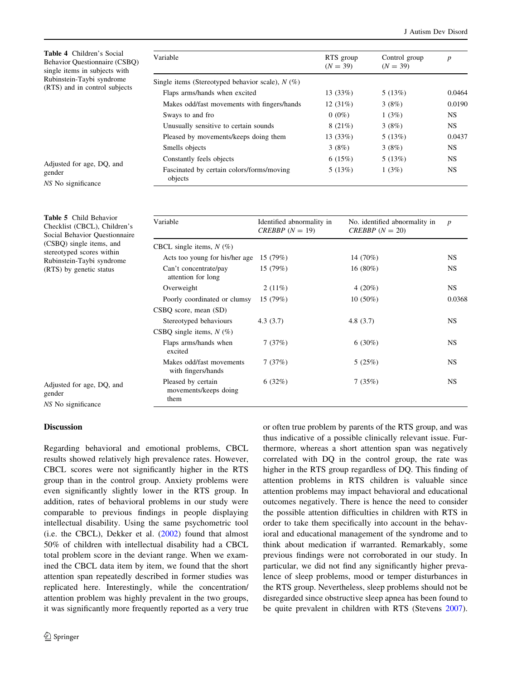<span id="page-5-0"></span>

| <b>Table 4</b> Children's Social<br><b>Behavior Questionnaire (CSBO)</b><br>single items in subjects with | Variable                                                                                       |  |  |
|-----------------------------------------------------------------------------------------------------------|------------------------------------------------------------------------------------------------|--|--|
| Rubinstein-Taybi syndrome<br>(RTS) and in control subjects                                                | Single items (Stereotyped behav)<br>Flaps arms/hands when excite<br>Makes odd/fast movements w |  |  |

| Variable                                             | RTS group<br>$(N = 39)$ | Control group<br>$(N = 39)$ | $\boldsymbol{p}$ |
|------------------------------------------------------|-------------------------|-----------------------------|------------------|
| Single items (Stereotyped behavior scale), $N(\%)$   |                         |                             |                  |
| Flaps arms/hands when excited                        | 13(33%)                 | 5(13%)                      | 0.0464           |
| Makes odd/fast movements with fingers/hands          | 12 $(31%)$              | 3(8%)                       | 0.0190           |
| Sways to and fro                                     | $0(0\%)$                | 1(3%)                       | <b>NS</b>        |
| Unusually sensitive to certain sounds                | 8(21%)                  | 3(8%)                       | NS.              |
| Pleased by movements/keeps doing them                | 13(33%)                 | 5(13%)                      | 0.0437           |
| Smells objects                                       | 3(8%)                   | 3(8%)                       | <b>NS</b>        |
| Constantly feels objects                             | 6(15%)                  | 5(13%)                      | <b>NS</b>        |
| Fascinated by certain colors/forms/moving<br>objects | 5(13%)                  | 1(3%)                       | <b>NS</b>        |

Adjusted for age, DQ, and gender NS No significance

| <b>Table 5</b> Child Behavior<br>Checklist (CBCL), Children's<br>Social Behavior Questionnaire<br>(CSBQ) single items, and<br>stereotyped scores within<br>Rubinstein-Taybi syndrome<br>(RTS) by genetic status | Variable                                            | Identified abnormality in<br>CREBBP $(N = 19)$ | No. identified abnormality in<br>CREBBP $(N = 20)$ | $\boldsymbol{p}$ |
|-----------------------------------------------------------------------------------------------------------------------------------------------------------------------------------------------------------------|-----------------------------------------------------|------------------------------------------------|----------------------------------------------------|------------------|
|                                                                                                                                                                                                                 | CBCL single items, $N(\%)$                          |                                                |                                                    |                  |
|                                                                                                                                                                                                                 | Acts too young for his/her age                      | 15(79%)                                        | 14 (70%)                                           | NS.              |
|                                                                                                                                                                                                                 | Can't concentrate/pay<br>attention for long         | 15 (79%)                                       | $16(80\%)$                                         | NS.              |
|                                                                                                                                                                                                                 | Overweight                                          | 2(11%)                                         | 4 $(20\%)$                                         | NS.              |
|                                                                                                                                                                                                                 | Poorly coordinated or clumsy                        | 15(79%)                                        | $10(50\%)$                                         | 0.0368           |
|                                                                                                                                                                                                                 | $CSBQ$ score, mean $(SD)$                           |                                                |                                                    |                  |
|                                                                                                                                                                                                                 | Stereotyped behaviours                              | 4.3(3.7)                                       | 4.8 $(3.7)$                                        | NS.              |
|                                                                                                                                                                                                                 | CSBQ single items, $N(\%)$                          |                                                |                                                    |                  |
|                                                                                                                                                                                                                 | Flaps arms/hands when<br>excited                    | 7(37%)                                         | $6(30\%)$                                          | NS.              |
|                                                                                                                                                                                                                 | Makes odd/fast movements<br>with fingers/hands      | 7(37%)                                         | 5(25%)                                             | NS.              |
| Adjusted for age, DQ, and<br>gender<br>NS No significance                                                                                                                                                       | Pleased by certain<br>movements/keeps doing<br>them | 6(32%)                                         | 7(35%)                                             | NS.              |

## Discussion

Regarding behavioral and emotional problems, CBCL results showed relatively high prevalence rates. However, CBCL scores were not significantly higher in the RTS group than in the control group. Anxiety problems were even significantly slightly lower in the RTS group. In addition, rates of behavioral problems in our study were comparable to previous findings in people displaying intellectual disability. Using the same psychometric tool (i.e. the CBCL), Dekker et al. [\(2002](#page-7-0)) found that almost 50% of children with intellectual disability had a CBCL total problem score in the deviant range. When we examined the CBCL data item by item, we found that the short attention span repeatedly described in former studies was replicated here. Interestingly, while the concentration/ attention problem was highly prevalent in the two groups, it was significantly more frequently reported as a very true or often true problem by parents of the RTS group, and was thus indicative of a possible clinically relevant issue. Furthermore, whereas a short attention span was negatively correlated with DQ in the control group, the rate was higher in the RTS group regardless of DQ. This finding of attention problems in RTS children is valuable since attention problems may impact behavioral and educational outcomes negatively. There is hence the need to consider the possible attention difficulties in children with RTS in order to take them specifically into account in the behavioral and educational management of the syndrome and to think about medication if warranted. Remarkably, some previous findings were not corroborated in our study. In particular, we did not find any significantly higher prevalence of sleep problems, mood or temper disturbances in the RTS group. Nevertheless, sleep problems should not be disregarded since obstructive sleep apnea has been found to be quite prevalent in children with RTS (Stevens [2007](#page-8-0)).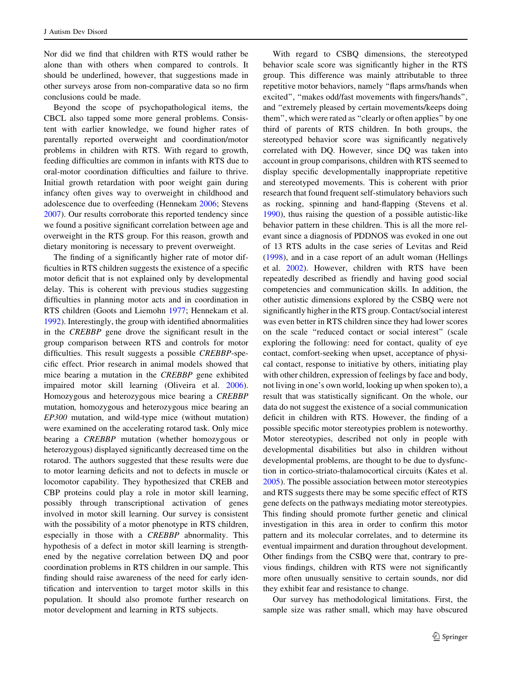Nor did we find that children with RTS would rather be alone than with others when compared to controls. It should be underlined, however, that suggestions made in other surveys arose from non-comparative data so no firm conclusions could be made.

Beyond the scope of psychopathological items, the CBCL also tapped some more general problems. Consistent with earlier knowledge, we found higher rates of parentally reported overweight and coordination/motor problems in children with RTS. With regard to growth, feeding difficulties are common in infants with RTS due to oral-motor coordination difficulties and failure to thrive. Initial growth retardation with poor weight gain during infancy often gives way to overweight in childhood and adolescence due to overfeeding (Hennekam [2006](#page-8-0); Stevens [2007\)](#page-8-0). Our results corroborate this reported tendency since we found a positive significant correlation between age and overweight in the RTS group. For this reason, growth and dietary monitoring is necessary to prevent overweight.

The finding of a significantly higher rate of motor difficulties in RTS children suggests the existence of a specific motor deficit that is not explained only by developmental delay. This is coherent with previous studies suggesting difficulties in planning motor acts and in coordination in RTS children (Goots and Liemohn [1977](#page-8-0); Hennekam et al. [1992\)](#page-8-0). Interestingly, the group with identified abnormalities in the CREBBP gene drove the significant result in the group comparison between RTS and controls for motor difficulties. This result suggests a possible CREBBP-specific effect. Prior research in animal models showed that mice bearing a mutation in the CREBBP gene exhibited impaired motor skill learning (Oliveira et al. [2006](#page-8-0)). Homozygous and heterozygous mice bearing a CREBBP mutation, homozygous and heterozygous mice bearing an EP300 mutation, and wild-type mice (without mutation) were examined on the accelerating rotarod task. Only mice bearing a CREBBP mutation (whether homozygous or heterozygous) displayed significantly decreased time on the rotarod. The authors suggested that these results were due to motor learning deficits and not to defects in muscle or locomotor capability. They hypothesized that CREB and CBP proteins could play a role in motor skill learning, possibly through transcriptional activation of genes involved in motor skill learning. Our survey is consistent with the possibility of a motor phenotype in RTS children, especially in those with a CREBBP abnormality. This hypothesis of a defect in motor skill learning is strengthened by the negative correlation between DQ and poor coordination problems in RTS children in our sample. This finding should raise awareness of the need for early identification and intervention to target motor skills in this population. It should also promote further research on motor development and learning in RTS subjects.

behavior scale score was significantly higher in the RTS group. This difference was mainly attributable to three repetitive motor behaviors, namely ''flaps arms/hands when excited'', ''makes odd/fast movements with fingers/hands'', and ''extremely pleased by certain movements/keeps doing them'', which were rated as ''clearly or often applies'' by one third of parents of RTS children. In both groups, the stereotyped behavior score was significantly negatively correlated with DQ. However, since DQ was taken into account in group comparisons, children with RTS seemed to display specific developmentally inappropriate repetitive and stereotyped movements. This is coherent with prior research that found frequent self-stimulatory behaviors such as rocking, spinning and hand-flapping (Stevens et al. [1990](#page-8-0)), thus raising the question of a possible autistic-like behavior pattern in these children. This is all the more relevant since a diagnosis of PDDNOS was evoked in one out of 13 RTS adults in the case series of Levitas and Reid [\(1998](#page-8-0)), and in a case report of an adult woman (Hellings et al. [2002](#page-8-0)). However, children with RTS have been repeatedly described as friendly and having good social competencies and communication skills. In addition, the other autistic dimensions explored by the CSBQ were not significantly higher in the RTS group. Contact/social interest was even better in RTS children since they had lower scores on the scale ''reduced contact or social interest'' (scale exploring the following: need for contact, quality of eye contact, comfort-seeking when upset, acceptance of physical contact, response to initiative by others, initiating play with other children, expression of feelings by face and body, not living in one's own world, looking up when spoken to), a result that was statistically significant. On the whole, our data do not suggest the existence of a social communication deficit in children with RTS. However, the finding of a possible specific motor stereotypies problem is noteworthy. Motor stereotypies, described not only in people with developmental disabilities but also in children without developmental problems, are thought to be due to dysfunction in cortico-striato-thalamocortical circuits (Kates et al. [2005](#page-8-0)). The possible association between motor stereotypies and RTS suggests there may be some specific effect of RTS gene defects on the pathways mediating motor stereotypies. This finding should promote further genetic and clinical investigation in this area in order to confirm this motor pattern and its molecular correlates, and to determine its eventual impairment and duration throughout development. Other findings from the CSBQ were that, contrary to previous findings, children with RTS were not significantly more often unusually sensitive to certain sounds, nor did they exhibit fear and resistance to change.

With regard to CSBQ dimensions, the stereotyped

Our survey has methodological limitations. First, the sample size was rather small, which may have obscured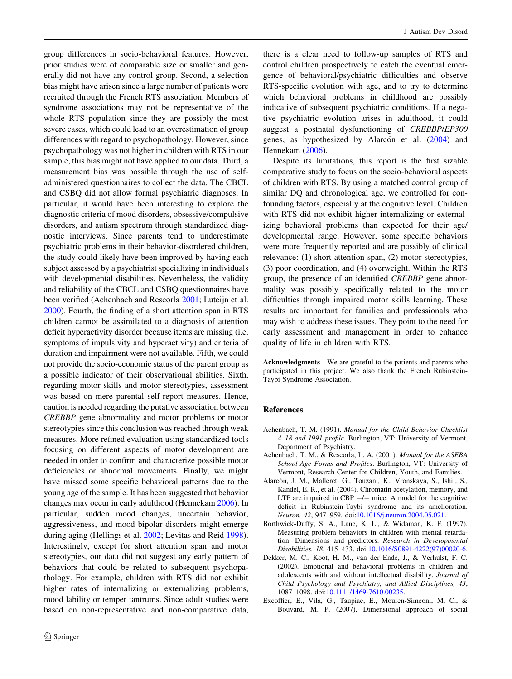<span id="page-7-0"></span>group differences in socio-behavioral features. However, prior studies were of comparable size or smaller and generally did not have any control group. Second, a selection bias might have arisen since a large number of patients were recruited through the French RTS association. Members of syndrome associations may not be representative of the whole RTS population since they are possibly the most severe cases, which could lead to an overestimation of group differences with regard to psychopathology. However, since psychopathology was not higher in children with RTS in our sample, this bias might not have applied to our data. Third, a measurement bias was possible through the use of selfadministered questionnaires to collect the data. The CBCL and CSBQ did not allow formal psychiatric diagnoses. In particular, it would have been interesting to explore the diagnostic criteria of mood disorders, obsessive/compulsive disorders, and autism spectrum through standardized diagnostic interviews. Since parents tend to underestimate psychiatric problems in their behavior-disordered children, the study could likely have been improved by having each subject assessed by a psychiatrist specializing in individuals with developmental disabilities. Nevertheless, the validity and reliability of the CBCL and CSBQ questionnaires have been verified (Achenbach and Rescorla 2001; Luteijn et al. [2000\)](#page-8-0). Fourth, the finding of a short attention span in RTS children cannot be assimilated to a diagnosis of attention deficit hyperactivity disorder because items are missing (i.e. symptoms of impulsivity and hyperactivity) and criteria of duration and impairment were not available. Fifth, we could not provide the socio-economic status of the parent group as a possible indicator of their observational abilities. Sixth, regarding motor skills and motor stereotypies, assessment was based on mere parental self-report measures. Hence, caution is needed regarding the putative association between CREBBP gene abnormality and motor problems or motor stereotypies since this conclusion was reached through weak measures. More refined evaluation using standardized tools focusing on different aspects of motor development are needed in order to confirm and characterize possible motor deficiencies or abnormal movements. Finally, we might have missed some specific behavioral patterns due to the young age of the sample. It has been suggested that behavior changes may occur in early adulthood (Hennekam [2006\)](#page-8-0). In particular, sudden mood changes, uncertain behavior, aggressiveness, and mood bipolar disorders might emerge during aging (Hellings et al. [2002](#page-8-0); Levitas and Reid [1998](#page-8-0)). Interestingly, except for short attention span and motor stereotypies, our data did not suggest any early pattern of behaviors that could be related to subsequent psychopathology. For example, children with RTS did not exhibit higher rates of internalizing or externalizing problems, mood lability or temper tantrums. Since adult studies were based on non-representative and non-comparative data,

there is a clear need to follow-up samples of RTS and control children prospectively to catch the eventual emergence of behavioral/psychiatric difficulties and observe RTS-specific evolution with age, and to try to determine which behavioral problems in childhood are possibly indicative of subsequent psychiatric conditions. If a negative psychiatric evolution arises in adulthood, it could suggest a postnatal dysfunctioning of CREBBP/EP300 genes, as hypothesized by Alarcón et al. (2004) and Hennekam ([2006\)](#page-8-0).

Despite its limitations, this report is the first sizable comparative study to focus on the socio-behavioral aspects of children with RTS. By using a matched control group of similar DQ and chronological age, we controlled for confounding factors, especially at the cognitive level. Children with RTS did not exhibit higher internalizing or externalizing behavioral problems than expected for their age/ developmental range. However, some specific behaviors were more frequently reported and are possibly of clinical relevance: (1) short attention span, (2) motor stereotypies, (3) poor coordination, and (4) overweight. Within the RTS group, the presence of an identified CREBBP gene abnormality was possibly specifically related to the motor difficulties through impaired motor skills learning. These results are important for families and professionals who may wish to address these issues. They point to the need for early assessment and management in order to enhance quality of life in children with RTS.

Acknowledgments We are grateful to the patients and parents who participated in this project. We also thank the French Rubinstein-Taybi Syndrome Association.

## References

- Achenbach, T. M. (1991). Manual for the Child Behavior Checklist 4–18 and 1991 profile. Burlington, VT: University of Vermont, Department of Psychiatry.
- Achenbach, T. M., & Rescorla, L. A. (2001). Manual for the ASEBA School-Age Forms and Profiles. Burlington, VT: University of Vermont, Research Center for Children, Youth, and Families.
- Alarcón, J. M., Malleret, G., Touzani, K., Vronskaya, S., Ishii, S., Kandel, E. R., et al. (2004). Chromatin acetylation, memory, and LTP are impaired in CBP  $+/-$  mice: A model for the cognitive deficit in Rubinstein-Taybi syndrome and its amelioration. Neuron, 42, 947–959. doi:[10.1016/j.neuron.2004.05.021](http://dx.doi.org/10.1016/j.neuron.2004.05.021).
- Borthwick-Duffy, S. A., Lane, K. L., & Widaman, K. F. (1997). Measuring problem behaviors in children with mental retardation: Dimensions and predictors. Research in Developmental Disabilities, 18, 415–433. doi[:10.1016/S0891-4222\(97\)00020-6](http://dx.doi.org/10.1016/S0891-4222(97)00020-6).
- Dekker, M. C., Koot, H. M., van der Ende, J., & Verhulst, F. C. (2002). Emotional and behavioral problems in children and adolescents with and without intellectual disability. Journal of Child Psychology and Psychiatry, and Allied Disciplines, 43, 1087–1098. doi[:10.1111/1469-7610.00235](http://dx.doi.org/10.1111/1469-7610.00235).
- Excoffier, E., Vila, G., Taupiac, E., Mouren-Simeoni, M. C., & Bouvard, M. P. (2007). Dimensional approach of social